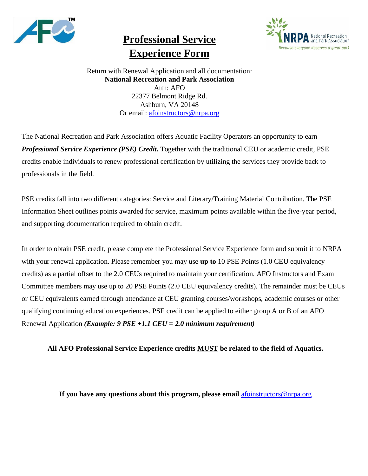

# **Professional Service Experience Form**



Return with Renewal Application and all documentation: **National Recreation and Park Association** Attn: AFO 22377 Belmont Ridge Rd. Ashburn, VA 20148 Or email: [afoinstructors@nrpa.org](mailto:afoinstructors@nrpa.org)

The National Recreation and Park Association offers Aquatic Facility Operators an opportunity to earn *Professional Service Experience (PSE) Credit.* Together with the traditional CEU or academic credit, PSE credits enable individuals to renew professional certification by utilizing the services they provide back to professionals in the field.

PSE credits fall into two different categories: Service and Literary/Training Material Contribution. The PSE Information Sheet outlines points awarded for service, maximum points available within the five-year period, and supporting documentation required to obtain credit.

In order to obtain PSE credit, please complete the Professional Service Experience form and submit it to NRPA with your renewal application. Please remember you may use **up to** 10 PSE Points (1.0 CEU equivalency credits) as a partial offset to the 2.0 CEUs required to maintain your certification. AFO Instructors and Exam Committee members may use up to 20 PSE Points (2.0 CEU equivalency credits). The remainder must be CEUs or CEU equivalents earned through attendance at CEU granting courses/workshops, academic courses or other qualifying continuing education experiences. PSE credit can be applied to either group A or B of an AFO Renewal Application *(Example: 9 PSE +1.1 CEU = 2.0 minimum requirement)*

### **All AFO Professional Service Experience credits MUST be related to the field of Aquatics.**

**If you have any questions about this program, please email** [afoinstructors@nrpa.org](mailto:afoinstructors@nrpa.org)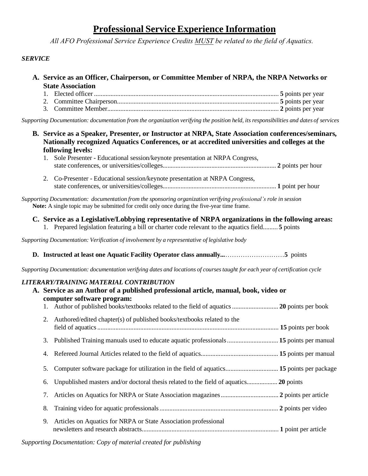## **Professional Service Experience Information**

*All AFO Professional Service Experience Credits MUST be related to the field of Aquatics.* 

#### *SERVICE*

- **A. Service as an Officer, Chairperson, or Committee Member of NRPA, the NRPA Networks or State Association**
	- 1. Elected officer ................................................................................................................ **5** points per year 2. Committee Chairperson.................................................................................................. **5** points per year 3*.* Committee Member........................................................................................................ **2** points per year

Supporting Documentation: documentation from the organization verifying the position held, its responsibilities and dates of services

- **B. Service as a Speaker, Presenter, or Instructor at NRPA, State Association conferences/seminars, Nationally recognized Aquatics Conferences, or at accredited universities and colleges at the following levels:**
	- 1. Sole Presenter Educational session/keynote presentation at NRPA Congress, state conferences, or universities/colleges...................................................................... **2** points per hour
	- 2. Co-Presenter Educational session/keynote presentation at NRPA Congress, state conferences, or universities/colleges...................................................................... **1** point per hour

*Supporting Documentation: documentation from the sponsoring organization verifying professional's role in session* **Note:** A single topic may be submitted for credit only once during the five-year time frame.

#### **C. Service as a Legislative/Lobbying representative of NRPA organizations in the following areas:**

1. Prepared legislation featuring a bill or charter code relevant to the aquatics field......... **5** points

*Supporting Documentation: Verification of involvement by a representative of legislative body*

**D. Instructed at least one Aquatic Facility Operator class annually...**………………………**5** points

Supporting Documentation: documentation verifying dates and locations of courses taught for each year of certification cycle

#### *LITERARY/TRAINING MATERIAL CONTRIBUTION*

| A. Service as an Author of a published professional article, manual, book, video or<br>computer software program: |                                                                        |                                                                                                                                                                                       |  |  |  |
|-------------------------------------------------------------------------------------------------------------------|------------------------------------------------------------------------|---------------------------------------------------------------------------------------------------------------------------------------------------------------------------------------|--|--|--|
|                                                                                                                   |                                                                        |                                                                                                                                                                                       |  |  |  |
| 2.                                                                                                                | Authored/edited chapter(s) of published books/textbooks related to the |                                                                                                                                                                                       |  |  |  |
|                                                                                                                   |                                                                        |                                                                                                                                                                                       |  |  |  |
|                                                                                                                   |                                                                        |                                                                                                                                                                                       |  |  |  |
| 5.                                                                                                                |                                                                        |                                                                                                                                                                                       |  |  |  |
| 6.                                                                                                                |                                                                        |                                                                                                                                                                                       |  |  |  |
|                                                                                                                   |                                                                        |                                                                                                                                                                                       |  |  |  |
| 8.                                                                                                                |                                                                        |                                                                                                                                                                                       |  |  |  |
| 9.                                                                                                                | Articles on Aquatics for NRPA or State Association professional        |                                                                                                                                                                                       |  |  |  |
|                                                                                                                   |                                                                        | 3. Published Training manuals used to educate aquatic professionals  15 points per manual<br>Computer software package for utilization in the field of aquatics 15 points per package |  |  |  |

*Supporting Documentation: Copy of material created for publishing*